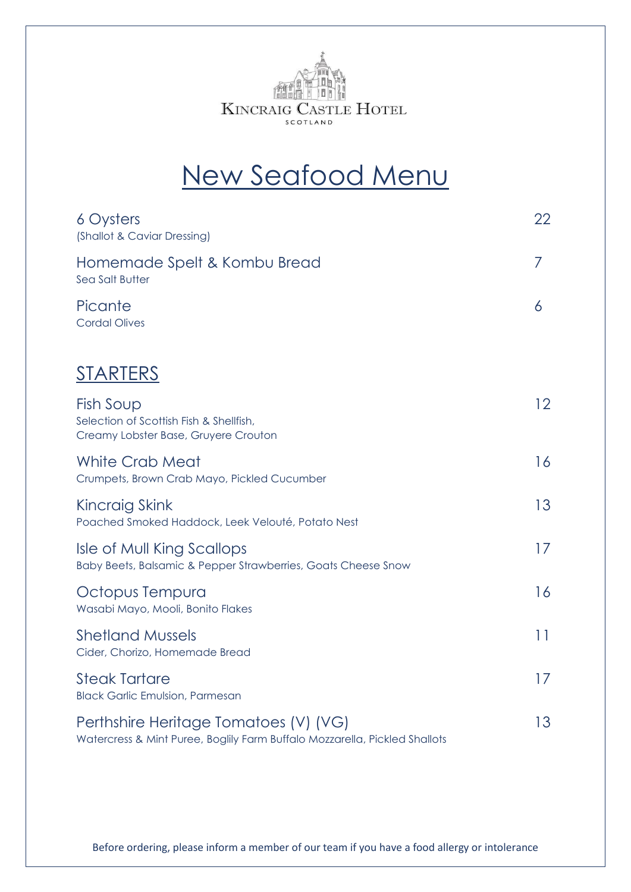

## New Seafood Menu

| 6 Oysters<br>(Shallot & Caviar Dressing)                                                                            | 22              |
|---------------------------------------------------------------------------------------------------------------------|-----------------|
| Homemade Spelt & Kombu Bread<br>Sea Salt Butter                                                                     | 7               |
| Picante<br><b>Cordal Olives</b>                                                                                     | 6               |
| <u>STARTERS</u>                                                                                                     |                 |
| Fish Soup<br>Selection of Scottish Fish & Shellfish,<br>Creamy Lobster Base, Gruyere Crouton                        | 12 <sup>°</sup> |
| <b>White Crab Meat</b><br>Crumpets, Brown Crab Mayo, Pickled Cucumber                                               | 16              |
| Kincraig Skink<br>Poached Smoked Haddock, Leek Velouté, Potato Nest                                                 | 13              |
| <b>Isle of Mull King Scallops</b><br>Baby Beets, Balsamic & Pepper Strawberries, Goats Cheese Snow                  | 17              |
| Octopus Tempura<br>Wasabi Mayo, Mooli, Bonito Flakes                                                                | 16              |
| <b>Shetland Mussels</b><br>Cider, Chorizo, Homemade Bread                                                           | 11              |
| <b>Steak Tartare</b><br><b>Black Garlic Emulsion, Parmesan</b>                                                      | 17              |
| Perthshire Heritage Tomatoes (V) (VG)<br>Watercress & Mint Puree, Boglily Farm Buffalo Mozzarella, Pickled Shallots | 13              |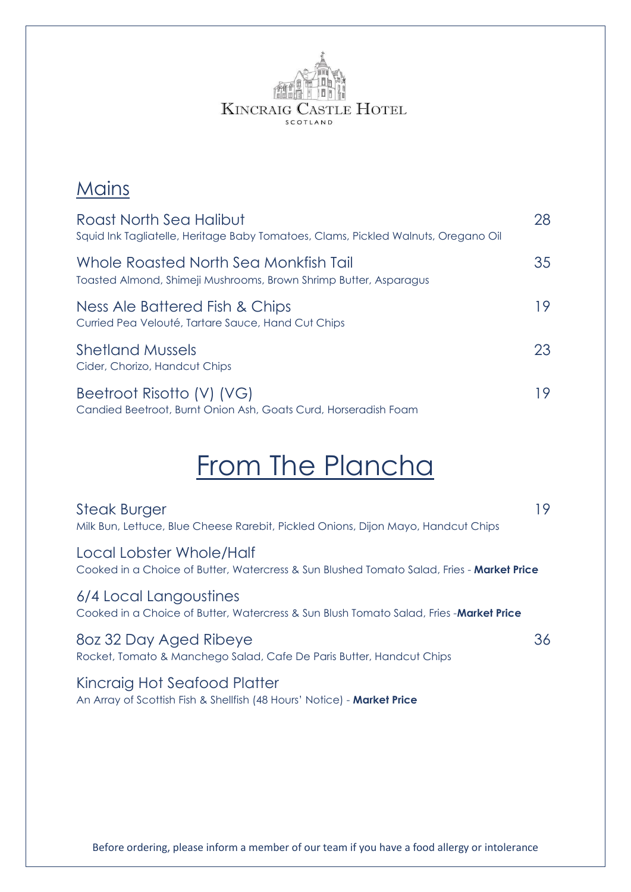

### **Mains**

| Roast North Sea Halibut<br>Squid Ink Tagliatelle, Heritage Baby Tomatoes, Clams, Pickled Walnuts, Oregano Oil | 28 |
|---------------------------------------------------------------------------------------------------------------|----|
| Whole Roasted North Sea Monkfish Tail<br>Toasted Almond, Shimeji Mushrooms, Brown Shrimp Butter, Asparagus    | 35 |
| Ness Ale Battered Fish & Chips<br>Curried Pea Velouté, Tartare Sauce, Hand Cut Chips                          | 19 |
| <b>Shetland Mussels</b><br>Cider, Chorizo, Handcut Chips                                                      | 23 |
| Beetroot Risotto (V) (VG)<br>Candied Beetroot, Burnt Onion Ash, Goats Curd, Horseradish Foam                  | 19 |

## From The Plancha

| <b>Steak Burger</b><br>Milk Bun, Lettuce, Blue Cheese Rarebit, Pickled Onions, Dijon Mayo, Handcut Chips              | 19 |
|-----------------------------------------------------------------------------------------------------------------------|----|
| Local Lobster Whole/Half<br>Cooked in a Choice of Butter, Watercress & Sun Blushed Tomato Salad, Fries - Market Price |    |
| 6/4 Local Langoustines<br>Cooked in a Choice of Butter, Watercress & Sun Blush Tomato Salad, Fries -Market Price      |    |
| 80z 32 Day Aged Ribeye<br>Rocket, Tomato & Manchego Salad, Cafe De Paris Butter, Handcut Chips                        | 36 |
| Kincraig Hot Seafood Platter<br>An Array of Scottish Fish & Shellfish (48 Hours' Notice) - Market Price               |    |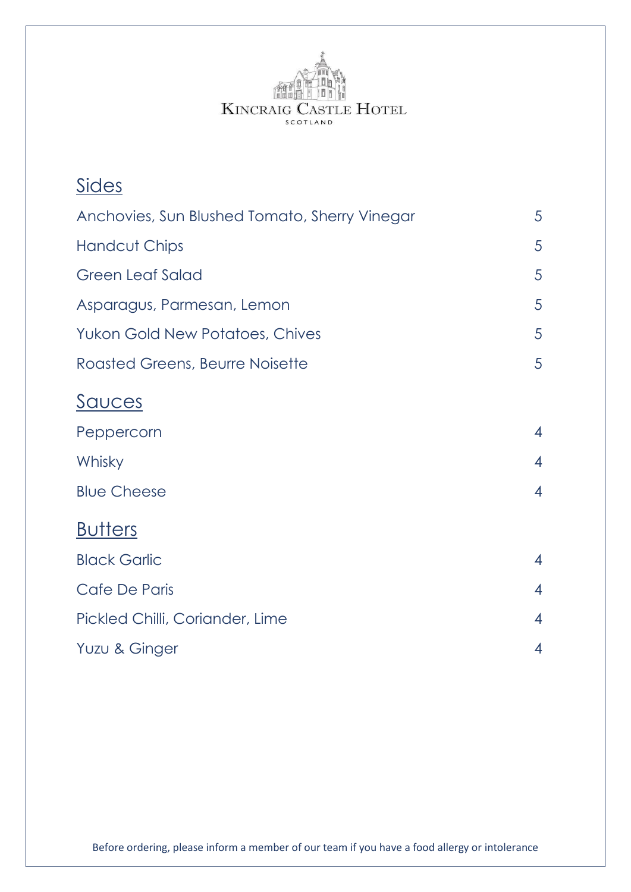

| <u>Sides</u>                                  |                |
|-----------------------------------------------|----------------|
| Anchovies, Sun Blushed Tomato, Sherry Vinegar | 5              |
| <b>Handcut Chips</b>                          | 5              |
| <b>Green Leaf Salad</b>                       | 5              |
| Asparagus, Parmesan, Lemon                    | 5              |
| <b>Yukon Gold New Potatoes, Chives</b>        | 5              |
| <b>Roasted Greens, Beurre Noisette</b>        | 5              |
| <u>Sauces</u>                                 |                |
| Peppercorn                                    | $\overline{4}$ |
| Whisky                                        | $\overline{4}$ |
| <b>Blue Cheese</b>                            | $\overline{4}$ |
| <b>Butters</b>                                |                |
| <b>Black Garlic</b>                           | $\overline{4}$ |
| Cafe De Paris                                 | $\overline{4}$ |
| Pickled Chilli, Coriander, Lime               | $\overline{4}$ |
| Yuzu & Ginger                                 | 4              |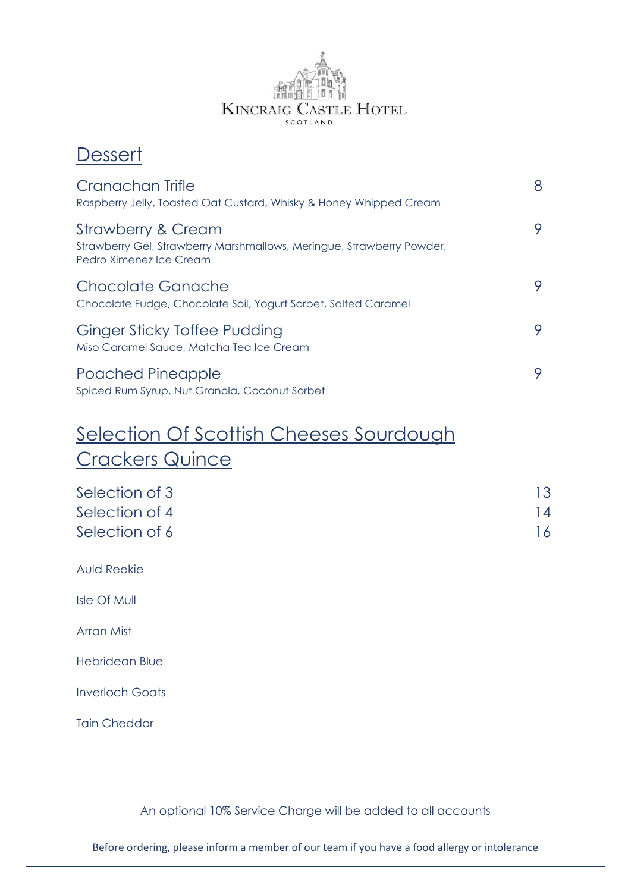# **KINCRAIG CASTLE HOTEL** SCOTLAND

### **Dessert**

| Cranachan Trifle<br>Raspberry Jelly, Toasted Oat Custard, Whisky & Honey Whipped Cream                                            | 8 |
|-----------------------------------------------------------------------------------------------------------------------------------|---|
| <b>Strawberry &amp; Cream</b><br>Strawberry Gel, Strawberry Marshmallows, Meringue, Strawberry Powder,<br>Pedro Ximenez Ice Cream | 9 |
| Chocolate Ganache<br>Chocolate Fudge, Chocolate Soil, Yogurt Sorbet, Salted Caramel                                               | 9 |
| Ginger Sticky Toffee Pudding<br>Miso Caramel Sauce, Matcha Tea Ice Cream                                                          | 9 |
| Poached Pineapple<br>Spiced Rum Syrup, Nut Granola, Coconut Sorbet                                                                | 9 |

### Selection Of Scottish Cheeses Sourdough Crackers Quince

| Selection of 3 | 13 |
|----------------|----|
| Selection of 4 | 14 |
| Selection of 6 | 16 |

Auld Reekie

Isle Of Mull

Arran Mist

Hebridean Blue

Inverloch Goats

Tain Cheddar

An optional 10% Service Charge will be added to all accounts